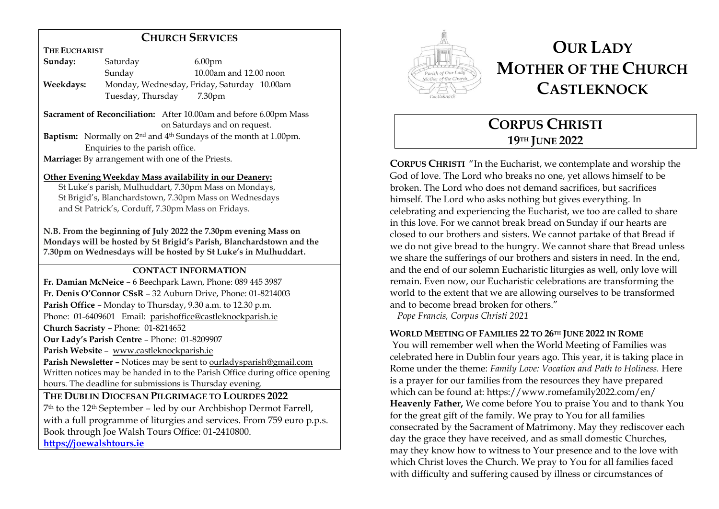### **CHURCH SERVICES**

**THE EUCHARIST**

| Sunday:   | Saturday          | 6.00 <sub>pm</sub>                          |
|-----------|-------------------|---------------------------------------------|
|           | Sunday            | $10.00$ am and $12.00$ noon                 |
| Weekdays: |                   | Monday, Wednesday, Friday, Saturday 10.00am |
|           | Tuesday, Thursday | 7.30 <sub>pm</sub>                          |

**Sacrament of Reconciliation:** After 10.00am and before 6.00pm Mass on Saturdays and on request. **Baptism:** Normally on 2<sup>nd</sup> and 4<sup>th</sup> Sundays of the month at 1.00pm. Enquiries to the parish office.

**Marriage:** By arrangement with one of the Priests.

#### **Other Evening Weekday Mass availability in our Deanery:**

 St Luke's parish, Mulhuddart, 7.30pm Mass on Mondays, St Brigid's, Blanchardstown, 7.30pm Mass on Wednesdays and St Patrick's, Corduff, 7.30pm Mass on Fridays.

**N.B. From the beginning of July 2022 the 7.30pm evening Mass on Mondays will be hosted by St Brigid's Parish, Blanchardstown and the 7.30pm on Wednesdays will be hosted by St Luke's in Mulhuddart.**

### **CONTACT INFORMATION**

**Fr. Damian McNeice** – 6 Beechpark Lawn, Phone: 089 445 3987 **Fr. Denis O'Connor CSsR** – 32 Auburn Drive, Phone: 01-8214003 **Parish Office** – Monday to Thursday, 9.30 a.m. to 12.30 p.m. Phone: 01-6409601 Email: parishoffice@castleknockparish.ie **Church Sacristy** – Phone: 01-8214652 **Our Lady's Parish Centre** – Phone: 01-8209907 **Parish Website** – www.castleknockparish.ie **Parish Newsletter –** Notices may be sent to ourladysparish@gmail.com Written notices may be handed in to the Parish Office during office opening hours. The deadline for submissions is Thursday evening.

**THE DUBLIN DIOCESAN PILGRIMAGE TO LOURDES 2022**  7th to the 12th September – led by our Archbishop Dermot Farrell, with a full programme of liturgies and services. From 759 euro p.p.s. Book through Joe Walsh Tours Office: 01-2410800. **https://joewalshtours.ie**



# **OUR LADY MOTHER OF THE CHURCH CASTLEKNOCK**

## **CORPUS CHRISTI 19TH JUNE 2022**

**CORPUS CHRISTI** "In the Eucharist, we contemplate and worship the God of love. The Lord who breaks no one, yet allows himself to be broken. The Lord who does not demand sacrifices, but sacrifices himself. The Lord who asks nothing but gives everything. In celebrating and experiencing the Eucharist, we too are called to share in this love. For we cannot break bread on Sunday if our hearts are closed to our brothers and sisters. We cannot partake of that Bread if we do not give bread to the hungry. We cannot share that Bread unless we share the sufferings of our brothers and sisters in need. In the end, and the end of our solemn Eucharistic liturgies as well, only love will remain. Even now, our Eucharistic celebrations are transforming the world to the extent that we are allowing ourselves to be transformed and to become bread broken for others."

*Pope Francis, Corpus Christi 2021*

### **WORLD MEETING OF FAMILIES 22 TO 26TH JUNE 2022 IN ROME**

You will remember well when the World Meeting of Families was celebrated here in Dublin four years ago. This year, it is taking place in Rome under the theme: *Family Love: Vocation and Path to Holiness.* Here is a prayer for our families from the resources they have prepared which can be found at: https://www.romefamily2022.com/en/ **Heavenly Father,** We come before You to praise You and to thank You for the great gift of the family. We pray to You for all families consecrated by the Sacrament of Matrimony. May they rediscover each day the grace they have received, and as small domestic Churches, may they know how to witness to Your presence and to the love with which Christ loves the Church. We pray to You for all families faced with difficulty and suffering caused by illness or circumstances of